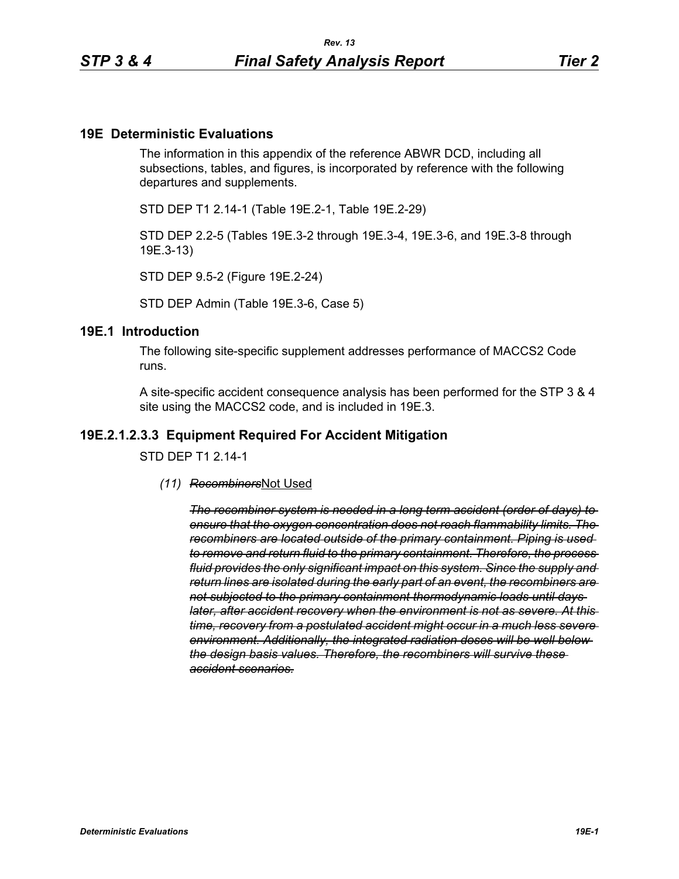## **19E Deterministic Evaluations**

The information in this appendix of the reference ABWR DCD, including all subsections, tables, and figures, is incorporated by reference with the following departures and supplements.

STD DEP T1 2.14-1 (Table 19E.2-1, Table 19E.2-29)

STD DEP 2.2-5 (Tables 19E.3-2 through 19E.3-4, 19E.3-6, and 19E.3-8 through 19E.3-13)

STD DEP 9.5-2 (Figure 19E.2-24)

STD DEP Admin (Table 19E.3-6, Case 5)

#### **19E.1 Introduction**

The following site-specific supplement addresses performance of MACCS2 Code runs.

A site-specific accident consequence analysis has been performed for the STP 3 & 4 site using the MACCS2 code, and is included in 19E.3.

#### **19E.2.1.2.3.3 Equipment Required For Accident Mitigation**

STD DEP T1 2.14-1

*(11) Recombiners*Not Used

*The recombiner system is needed in a long term accident (order of days) to ensure that the oxygen concentration does not reach flammability limits. The recombiners are located outside of the primary containment. Piping is used to remove and return fluid to the primary containment. Therefore, the process fluid provides the only significant impact on this system. Since the supply and return lines are isolated during the early part of an event, the recombiners are not subjected to the primary containment thermodynamic loads until days later, after accident recovery when the environment is not as severe. At this time, recovery from a postulated accident might occur in a much less severe environment. Additionally, the integrated radiation doses will be well below the design basis values. Therefore, the recombiners will survive these accident scenarios.*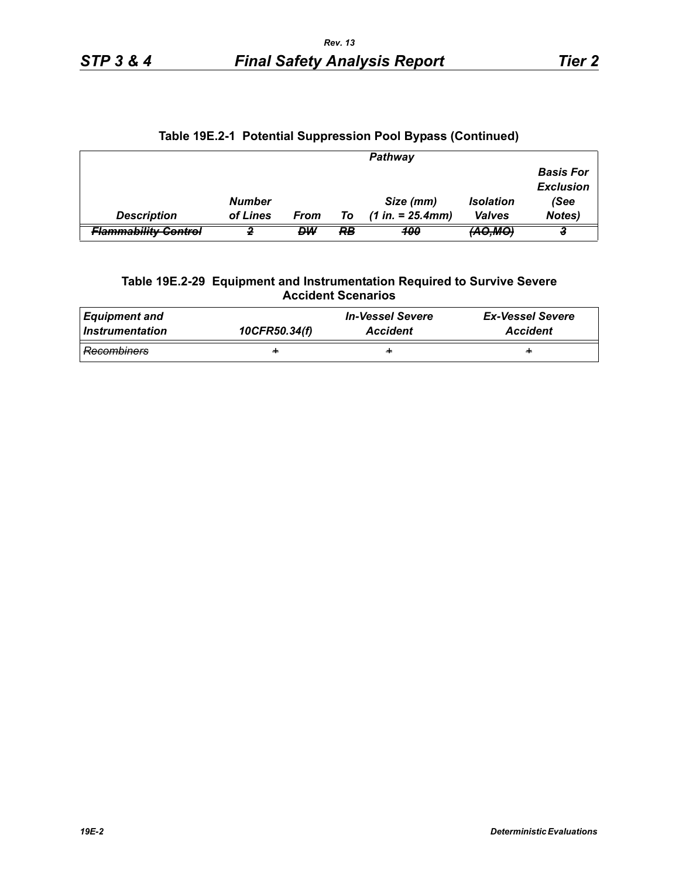|                                                        |               |           |    | <b>Pathway</b>      |                   |                                      |
|--------------------------------------------------------|---------------|-----------|----|---------------------|-------------------|--------------------------------------|
|                                                        |               |           |    |                     |                   | <b>Basis For</b><br><b>Exclusion</b> |
|                                                        | <b>Number</b> |           |    | Size (mm)           | <b>Isolation</b>  | (See                                 |
| <b>Description</b>                                     | of Lines      | From      | To | $(1 in. = 25.4 mm)$ | <b>Valves</b>     | Notes)                               |
| Slammability Control<br><del>. .annnaonity oUHIU</del> |               | <b>DW</b> | RB | <b>100</b>          | <del>(AO,MO</del> |                                      |

## **Table 19E.2-1 Potential Suppression Pool Bypass (Continued)**

#### **Table 19E.2-29 Equipment and Instrumentation Required to Survive Severe Accident Scenarios**

| <b>Equipment and</b> | 10CFR50.34(f) | <i><b>In-Vessel Severe</b></i> | <b>Ex-Vessel Severe</b> |  |
|----------------------|---------------|--------------------------------|-------------------------|--|
| Instrumentation      |               | <b>Accident</b>                | <b>Accident</b>         |  |
| <b>Recombiners</b>   | ÷             | ÷                              | ÷                       |  |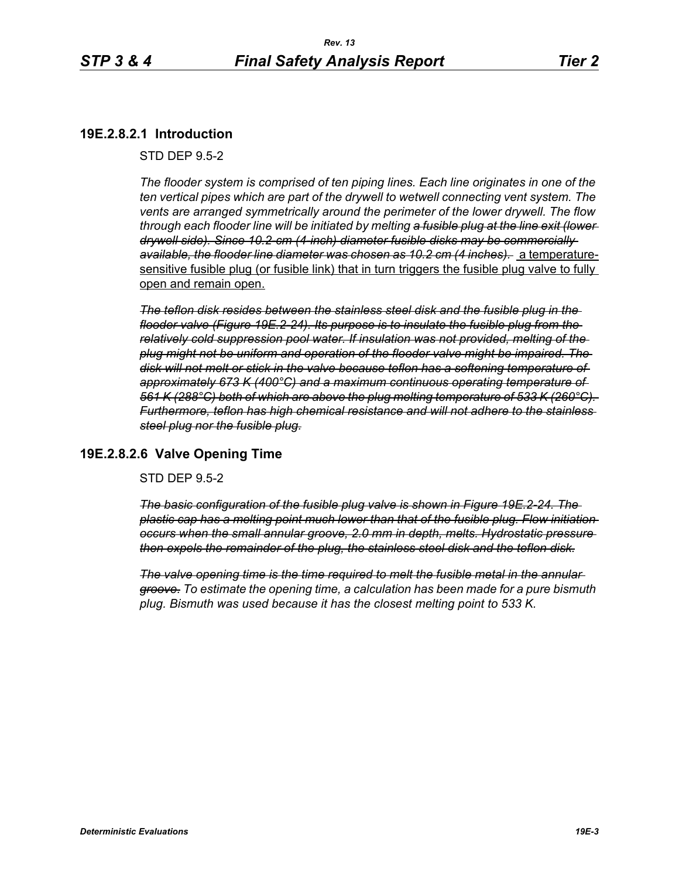## **19E.2.8.2.1 Introduction**

#### STD DEP 9.5-2

*The flooder system is comprised of ten piping lines. Each line originates in one of the ten vertical pipes which are part of the drywell to wetwell connecting vent system. The vents are arranged symmetrically around the perimeter of the lower drywell. The flow through each flooder line will be initiated by melting a fusible plug at the line exit (lower drywell side). Since 10.2-cm (4-inch) diameter fusible disks may be commercially available, the flooder line diameter was chosen as 10.2 cm (4 inches).* a temperaturesensitive fusible plug (or fusible link) that in turn triggers the fusible plug valve to fully open and remain open.

*The teflon disk resides between the stainless steel disk and the fusible plug in the flooder valve (Figure 19E.2-24). Its purpose is to insulate the fusible plug from the relatively cold suppression pool water. If insulation was not provided, melting of the plug might not be uniform and operation of the flooder valve might be impaired. The disk will not melt or stick in the valve because teflon has a softening temperature of approximately 673 K (400°C) and a maximum continuous operating temperature of 561 K (288°C) both of which are above the plug melting temperature of 533 K (260°C). Furthermore, teflon has high chemical resistance and will not adhere to the stainless steel plug nor the fusible plug.*

## **19E.2.8.2.6 Valve Opening Time**

#### STD DEP 9.5-2

*The basic configuration of the fusible plug valve is shown in Figure 19E.2-24. The plastic cap has a melting point much lower than that of the fusible plug. Flow initiation occurs when the small annular groove, 2.0 mm in depth, melts. Hydrostatic pressure then expels the remainder of the plug, the stainless steel disk and the teflon disk.*

*The valve opening time is the time required to melt the fusible metal in the annular groove. To estimate the opening time, a calculation has been made for a pure bismuth plug. Bismuth was used because it has the closest melting point to 533 K.*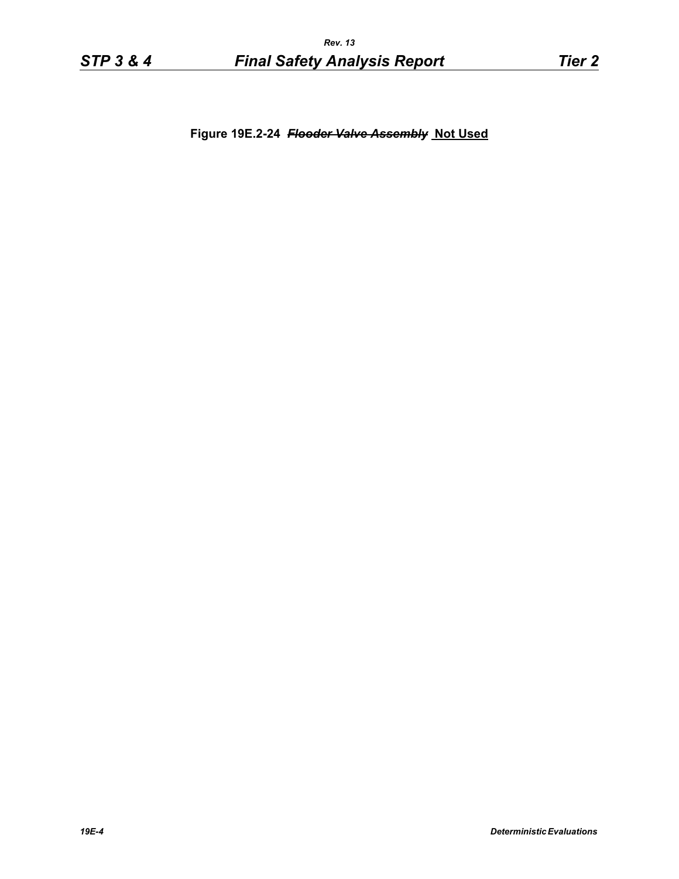**Figure 19E.2-24** *Flooder Valve Assembly* **Not Used**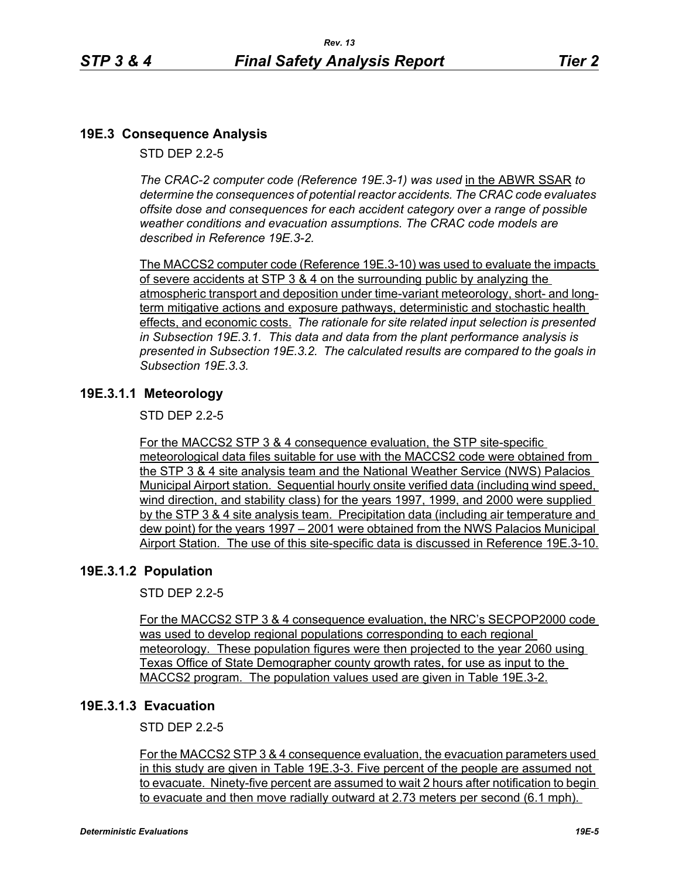# **19E.3 Consequence Analysis**

STD DEP 2.2-5

*The CRAC-2 computer code (Reference 19E.3-1) was used* in the ABWR SSAR *to determine the consequences of potential reactor accidents. The CRAC code evaluates offsite dose and consequences for each accident category over a range of possible weather conditions and evacuation assumptions. The CRAC code models are described in Reference 19E.3-2.* 

The MACCS2 computer code (Reference 19E.3-10) was used to evaluate the impacts of severe accidents at STP 3 & 4 on the surrounding public by analyzing the atmospheric transport and deposition under time-variant meteorology, short- and longterm mitigative actions and exposure pathways, deterministic and stochastic health effects, and economic costs. *The rationale for site related input selection is presented in Subsection 19E.3.1. This data and data from the plant performance analysis is presented in Subsection 19E.3.2. The calculated results are compared to the goals in Subsection 19E.3.3.*

# **19E.3.1.1 Meteorology**

STD DEP 2.2-5

For the MACCS2 STP 3 & 4 consequence evaluation, the STP site-specific meteorological data files suitable for use with the MACCS2 code were obtained from the STP 3 & 4 site analysis team and the National Weather Service (NWS) Palacios Municipal Airport station. Sequential hourly onsite verified data (including wind speed, wind direction, and stability class) for the years 1997, 1999, and 2000 were supplied by the STP 3 & 4 site analysis team. Precipitation data (including air temperature and dew point) for the years 1997 – 2001 were obtained from the NWS Palacios Municipal Airport Station. The use of this site-specific data is discussed in Reference 19E.3-10.

# **19E.3.1.2 Population**

STD DEP 2.2-5

For the MACCS2 STP 3 & 4 consequence evaluation, the NRC's SECPOP2000 code was used to develop regional populations corresponding to each regional meteorology. These population figures were then projected to the year 2060 using Texas Office of State Demographer county growth rates, for use as input to the MACCS2 program. The population values used are given in Table 19E.3-2.

# **19E.3.1.3 Evacuation**

STD DEP 2.2-5

For the MACCS2 STP 3 & 4 consequence evaluation, the evacuation parameters used in this study are given in Table 19E.3-3. Five percent of the people are assumed not to evacuate. Ninety-five percent are assumed to wait 2 hours after notification to begin to evacuate and then move radially outward at 2.73 meters per second (6.1 mph).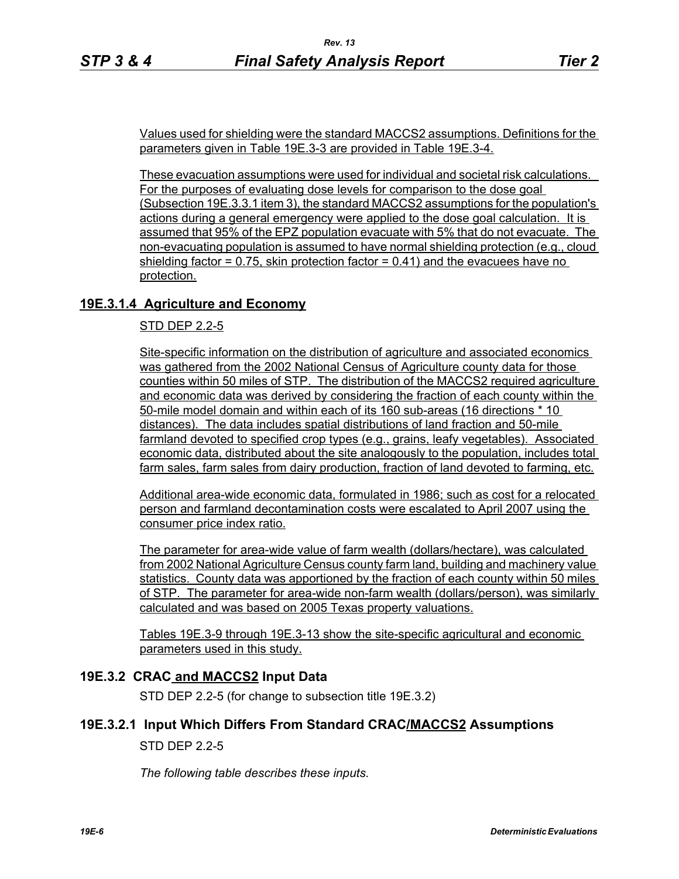Values used for shielding were the standard MACCS2 assumptions. Definitions for the parameters given in Table 19E.3-3 are provided in Table 19E.3-4.

These evacuation assumptions were used for individual and societal risk calculations. For the purposes of evaluating dose levels for comparison to the dose goal (Subsection 19E.3.3.1 item 3), the standard MACCS2 assumptions for the population's actions during a general emergency were applied to the dose goal calculation. It is assumed that 95% of the EPZ population evacuate with 5% that do not evacuate. The non-evacuating population is assumed to have normal shielding protection (e.g., cloud shielding factor  $= 0.75$ , skin protection factor  $= 0.41$ ) and the evacuees have no protection.

# **19E.3.1.4 Agriculture and Economy**

## STD DEP 2.2-5

Site-specific information on the distribution of agriculture and associated economics was gathered from the 2002 National Census of Agriculture county data for those counties within 50 miles of STP. The distribution of the MACCS2 required agriculture and economic data was derived by considering the fraction of each county within the 50-mile model domain and within each of its 160 sub-areas (16 directions \* 10 distances). The data includes spatial distributions of land fraction and 50-mile farmland devoted to specified crop types (e.g., grains, leafy vegetables). Associated economic data, distributed about the site analogously to the population, includes total farm sales, farm sales from dairy production, fraction of land devoted to farming, etc.

Additional area-wide economic data, formulated in 1986; such as cost for a relocated person and farmland decontamination costs were escalated to April 2007 using the consumer price index ratio.

The parameter for area-wide value of farm wealth (dollars/hectare), was calculated from 2002 National Agriculture Census county farm land, building and machinery value statistics. County data was apportioned by the fraction of each county within 50 miles of STP. The parameter for area-wide non-farm wealth (dollars/person), was similarly calculated and was based on 2005 Texas property valuations.

Tables 19E.3-9 through 19E.3-13 show the site-specific agricultural and economic parameters used in this study.

## **19E.3.2 CRAC and MACCS2 Input Data**

STD DEP 2.2-5 (for change to subsection title 19E.3.2)

#### **19E.3.2.1 Input Which Differs From Standard CRAC/MACCS2 Assumptions**

## STD DEP 2.2-5

*The following table describes these inputs.*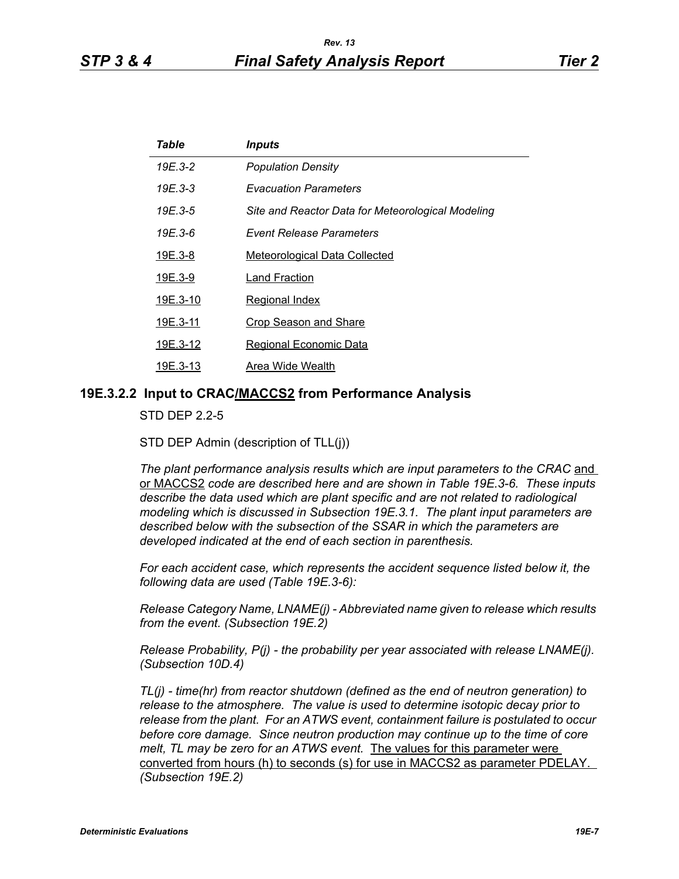| Table    | <i><b>Inputs</b></i>                              |
|----------|---------------------------------------------------|
| 19E.3-2  | <b>Population Density</b>                         |
| 19E.3-3  | <b>Evacuation Parameters</b>                      |
| 19E.3-5  | Site and Reactor Data for Meteorological Modeling |
| 19E.3-6  | <b>Event Release Parameters</b>                   |
| 19E.3-8  | <b>Meteorological Data Collected</b>              |
| 19E.3-9  | Land Fraction                                     |
| 19E.3-10 | Regional Index                                    |
| 19E.3-11 | <b>Crop Season and Share</b>                      |
| 19E.3-12 | <b>Regional Economic Data</b>                     |
| 19E.3-13 | Area Wide Wealth                                  |
|          |                                                   |

#### **19E.3.2.2 Input to CRAC/MACCS2 from Performance Analysis**

STD DEP 2.2-5

STD DEP Admin (description of TLL(j))

The plant performance analysis results which are input parameters to the CRAC and or MACCS2 *code are described here and are shown in Table 19E.3-6. These inputs describe the data used which are plant specific and are not related to radiological modeling which is discussed in Subsection 19E.3.1. The plant input parameters are described below with the subsection of the SSAR in which the parameters are developed indicated at the end of each section in parenthesis.*

*For each accident case, which represents the accident sequence listed below it, the following data are used (Table 19E.3-6):*

*Release Category Name, LNAME(j) - Abbreviated name given to release which results from the event. (Subsection 19E.2)*

*Release Probability, P(j) - the probability per year associated with release LNAME(j). (Subsection 10D.4)*

*TL(j) - time(hr) from reactor shutdown (defined as the end of neutron generation) to release to the atmosphere. The value is used to determine isotopic decay prior to release from the plant. For an ATWS event, containment failure is postulated to occur before core damage. Since neutron production may continue up to the time of core melt, TL may be zero for an ATWS event.* The values for this parameter were converted from hours (h) to seconds (s) for use in MACCS2 as parameter PDELAY. *(Subsection 19E.2)*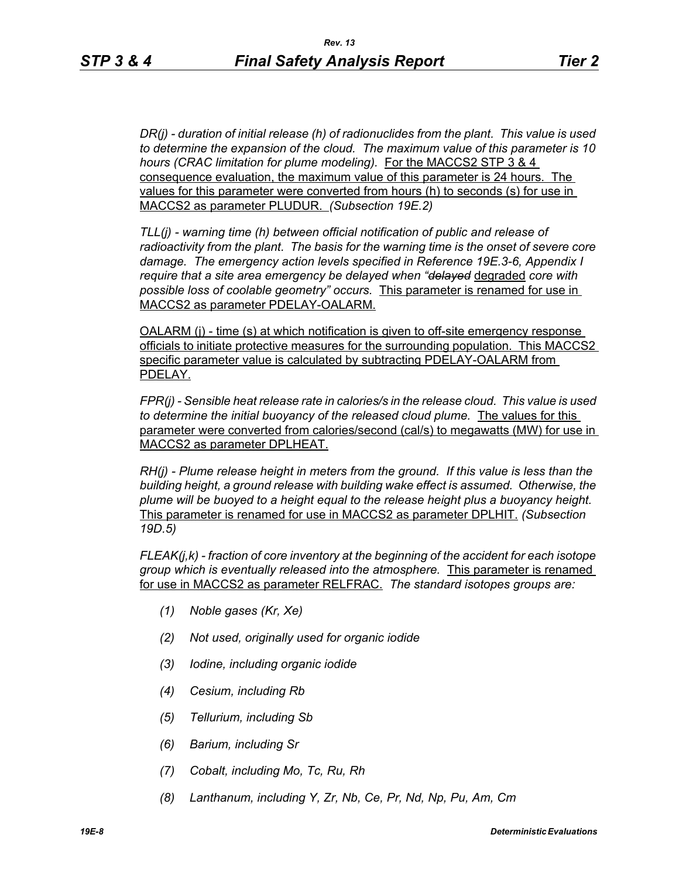*DR(j) - duration of initial release (h) of radionuclides from the plant. This value is used to determine the expansion of the cloud. The maximum value of this parameter is 10 hours (CRAC limitation for plume modeling).* For the MACCS2 STP 3 & 4 consequence evaluation, the maximum value of this parameter is 24 hours. The values for this parameter were converted from hours (h) to seconds (s) for use in MACCS2 as parameter PLUDUR. *(Subsection 19E.2)*

*TLL(j) - warning time (h) between official notification of public and release of radioactivity from the plant. The basis for the warning time is the onset of severe core damage. The emergency action levels specified in Reference 19E.3-6, Appendix I require that a site area emergency be delayed when "delayed* degraded *core with possible loss of coolable geometry" occurs.* This parameter is renamed for use in MACCS2 as parameter PDELAY-OALARM.

OALARM (j) - time (s) at which notification is given to off-site emergency response officials to initiate protective measures for the surrounding population. This MACCS2 specific parameter value is calculated by subtracting PDELAY-OALARM from PDELAY.

*FPR(j) - Sensible heat release rate in calories/s in the release cloud. This value is used to determine the initial buoyancy of the released cloud plume.* The values for this parameter were converted from calories/second (cal/s) to megawatts (MW) for use in MACCS2 as parameter DPLHEAT.

*RH(j) - Plume release height in meters from the ground. If this value is less than the building height, a ground release with building wake effect is assumed. Otherwise, the plume will be buoyed to a height equal to the release height plus a buoyancy height.*  This parameter is renamed for use in MACCS2 as parameter DPLHIT. *(Subsection 19D.5)*

*FLEAK(j,k) - fraction of core inventory at the beginning of the accident for each isotope group which is eventually released into the atmosphere.* This parameter is renamed for use in MACCS2 as parameter RELFRAC. *The standard isotopes groups are:*

- *(1) Noble gases (Kr, Xe)*
- *(2) Not used, originally used for organic iodide*
- *(3) Iodine, including organic iodide*
- *(4) Cesium, including Rb*
- *(5) Tellurium, including Sb*
- *(6) Barium, including Sr*
- *(7) Cobalt, including Mo, Tc, Ru, Rh*
- *(8) Lanthanum, including Y, Zr, Nb, Ce, Pr, Nd, Np, Pu, Am, Cm*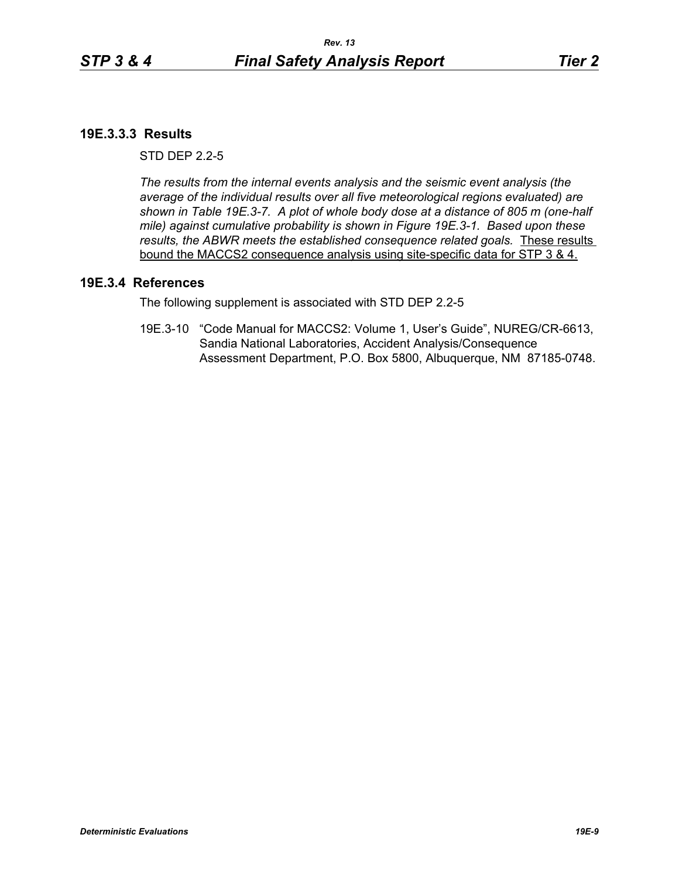# **19E.3.3.3 Results**

 $STD$  DFP  $2.2-5$ 

*The results from the internal events analysis and the seismic event analysis (the average of the individual results over all five meteorological regions evaluated) are shown in Table 19E.3-7. A plot of whole body dose at a distance of 805 m (one-half mile) against cumulative probability is shown in Figure 19E.3-1. Based upon these results, the ABWR meets the established consequence related goals.* These results bound the MACCS2 consequence analysis using site-specific data for STP 3 & 4.

## **19E.3.4 References**

The following supplement is associated with STD DEP 2.2-5

19E.3-10 "Code Manual for MACCS2: Volume 1, User's Guide", NUREG/CR-6613, Sandia National Laboratories, Accident Analysis/Consequence Assessment Department, P.O. Box 5800, Albuquerque, NM 87185-0748.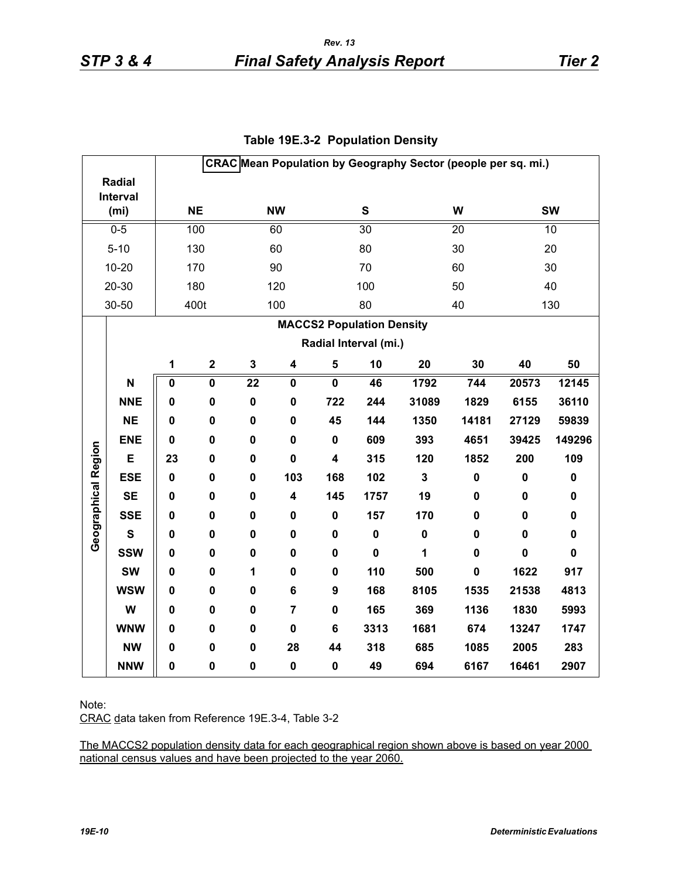|                     |                   |             |                         |                 |                         |                         |                                  | CRAC Mean Population by Geography Sector (people per sq. mi.) |             |                |             |  |
|---------------------|-------------------|-------------|-------------------------|-----------------|-------------------------|-------------------------|----------------------------------|---------------------------------------------------------------|-------------|----------------|-------------|--|
|                     | <b>Radial</b>     |             |                         |                 |                         |                         |                                  |                                                               |             |                |             |  |
| Interval            |                   |             | <b>NE</b>               |                 | <b>NW</b>               |                         | S                                |                                                               |             | <b>SW</b><br>W |             |  |
|                     | (m <sub>i</sub> ) |             |                         |                 |                         |                         |                                  |                                                               |             |                |             |  |
|                     | $0 - 5$           |             | 100                     |                 | 60                      |                         | $\overline{30}$                  |                                                               | 20          | 10             |             |  |
|                     | $5 - 10$          |             | 130                     |                 | 60                      |                         | 80                               |                                                               | 30          | 20             |             |  |
|                     | $10 - 20$         |             | 170                     |                 | 90                      |                         | 70                               |                                                               | 60          |                | 30          |  |
|                     | 20-30             |             | 180                     |                 | 120                     |                         | 100                              |                                                               | 50          |                | 40          |  |
|                     | 30-50             |             | 400t                    |                 | 100                     |                         | 80                               |                                                               | 40          |                | 130         |  |
|                     |                   |             |                         |                 |                         |                         | <b>MACCS2 Population Density</b> |                                                               |             |                |             |  |
|                     |                   |             |                         |                 |                         |                         | Radial Interval (mi.)            |                                                               |             |                |             |  |
|                     |                   | 1           | $\mathbf 2$             | 3               | 4                       | 5                       | 10                               | 20                                                            | 30          | 40             | 50          |  |
|                     | N                 | $\pmb{0}$   | $\overline{\mathbf{0}}$ | $\overline{22}$ | $\mathbf 0$             | $\overline{\mathbf{0}}$ | 46                               | 1792                                                          | 744         | 20573          | 12145       |  |
|                     | <b>NNE</b>        | $\mathbf 0$ | 0                       | $\pmb{0}$       | $\mathbf 0$             | 722                     | 244                              | 31089                                                         | 1829        | 6155           | 36110       |  |
|                     | <b>NE</b>         | $\mathbf 0$ | 0                       | 0               | $\mathbf 0$             | 45                      | 144                              | 1350                                                          | 14181       | 27129          | 59839       |  |
|                     | <b>ENE</b>        | 0           | $\pmb{0}$               | 0               | $\pmb{0}$               | $\pmb{0}$               | 609                              | 393                                                           | 4651        | 39425          | 149296      |  |
| Geographical Region | E                 | 23          | 0                       | $\mathbf 0$     | $\mathbf 0$             | $\overline{\mathbf{4}}$ | 315                              | 120                                                           | 1852        | 200            | 109         |  |
|                     | <b>ESE</b>        | $\mathbf 0$ | $\mathbf 0$             | $\mathbf 0$     | 103                     | 168                     | 102                              | $\mathbf{3}$                                                  | $\pmb{0}$   | $\pmb{0}$      | $\pmb{0}$   |  |
|                     | <b>SE</b>         | 0           | $\mathbf 0$             | 0               | $\overline{\mathbf{4}}$ | 145                     | 1757                             | 19                                                            | $\mathbf 0$ | $\pmb{0}$      | $\mathbf 0$ |  |
|                     | <b>SSE</b>        | $\mathbf 0$ | $\mathbf 0$             | $\mathbf 0$     | $\mathbf 0$             | $\mathbf 0$             | 157                              | 170                                                           | $\mathbf 0$ | $\mathbf 0$    | $\mathbf 0$ |  |
|                     | S                 | 0           | 0                       | 0               | 0                       | $\mathbf 0$             | $\pmb{0}$                        | $\pmb{0}$                                                     | 0           | $\mathbf 0$    | 0           |  |
|                     | <b>SSW</b>        | $\mathbf 0$ | 0                       | 0               | $\mathbf 0$             | $\mathbf 0$             | $\mathbf 0$                      | 1                                                             | $\mathbf 0$ | $\mathbf 0$    | $\mathbf 0$ |  |
|                     | <b>SW</b>         | $\mathbf 0$ | 0                       | 1               | $\pmb{0}$               | $\mathbf 0$             | 110                              | 500                                                           | $\pmb{0}$   | 1622           | 917         |  |
|                     | <b>WSW</b>        | $\mathbf 0$ | 0                       | 0               | 6                       | 9                       | 168                              | 8105                                                          | 1535        | 21538          | 4813        |  |
|                     | W                 | 0           | 0                       | 0               | $\overline{7}$          | $\mathbf 0$             | 165                              | 369                                                           | 1136        | 1830           | 5993        |  |
|                     | <b>WNW</b>        | $\mathbf 0$ | 0                       | 0               | $\pmb{0}$               | 6                       | 3313                             | 1681                                                          | 674         | 13247          | 1747        |  |
|                     | <b>NW</b>         | $\mathbf 0$ | 0                       | 0               | 28                      | 44                      | 318                              | 685                                                           | 1085        | 2005           | 283         |  |
|                     | <b>NNW</b>        | $\mathbf 0$ | $\pmb{0}$               | 0               | $\pmb{0}$               | $\pmb{0}$               | 49                               | 694                                                           | 6167        | 16461          | 2907        |  |

## **Table 19E.3-2 Population Density**

Note:

CRAC data taken from Reference 19E.3-4, Table 3-2

The MACCS2 population density data for each geographical region shown above is based on year 2000 national census values and have been projected to the year 2060.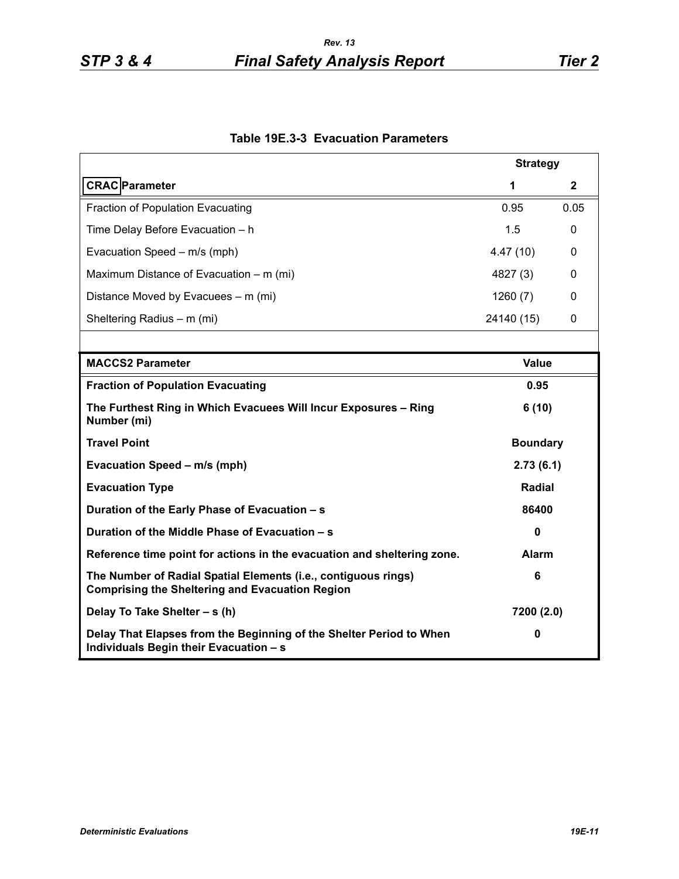|                                                                                                                          | <b>Strategy</b> |              |  |
|--------------------------------------------------------------------------------------------------------------------------|-----------------|--------------|--|
| <b>CRAC</b> Parameter                                                                                                    | 1               | $\mathbf{2}$ |  |
| Fraction of Population Evacuating                                                                                        | 0.95            | 0.05         |  |
| Time Delay Before Evacuation - h                                                                                         | 1.5             | 0            |  |
| Evacuation Speed - m/s (mph)                                                                                             | 4.47(10)        | 0            |  |
| Maximum Distance of Evacuation – m (mi)                                                                                  | 4827 (3)        | 0            |  |
| Distance Moved by Evacuees – m (mi)                                                                                      | 1260(7)         | 0            |  |
| Sheltering Radius - m (mi)                                                                                               | 24140 (15)      | 0            |  |
|                                                                                                                          |                 |              |  |
| <b>MACCS2 Parameter</b>                                                                                                  | <b>Value</b>    |              |  |
| <b>Fraction of Population Evacuating</b>                                                                                 | 0.95            |              |  |
| The Furthest Ring in Which Evacuees Will Incur Exposures - Ring<br>Number (mi)                                           | 6(10)           |              |  |
| <b>Travel Point</b>                                                                                                      | <b>Boundary</b> |              |  |
| Evacuation Speed - m/s (mph)                                                                                             | 2.73(6.1)       |              |  |
| <b>Evacuation Type</b>                                                                                                   | <b>Radial</b>   |              |  |
| Duration of the Early Phase of Evacuation - s                                                                            | 86400           |              |  |
| Duration of the Middle Phase of Evacuation - s                                                                           | $\mathbf{0}$    |              |  |
| Reference time point for actions in the evacuation and sheltering zone.                                                  | <b>Alarm</b>    |              |  |
| The Number of Radial Spatial Elements (i.e., contiguous rings)<br><b>Comprising the Sheltering and Evacuation Region</b> | 6               |              |  |
| Delay To Take Shelter - s (h)                                                                                            | 7200 (2.0)      |              |  |
| Delay That Elapses from the Beginning of the Shelter Period to When<br>Individuals Begin their Evacuation - s            | 0               |              |  |

## **Table 19E.3-3 Evacuation Parameters**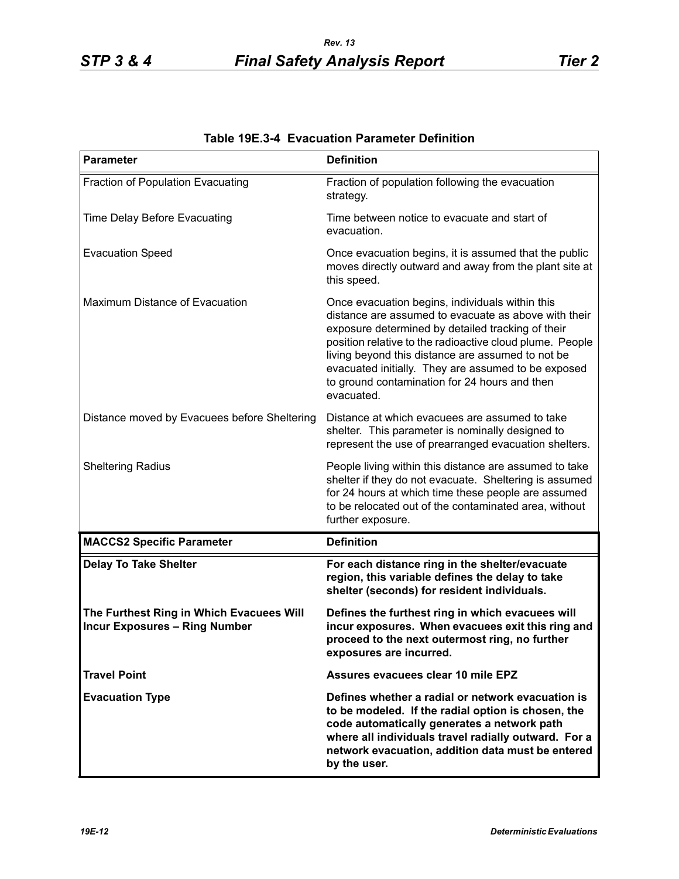| <b>Parameter</b>                                                                 | <b>Definition</b>                                                                                                                                                                                                                                                                                                                                                                                   |
|----------------------------------------------------------------------------------|-----------------------------------------------------------------------------------------------------------------------------------------------------------------------------------------------------------------------------------------------------------------------------------------------------------------------------------------------------------------------------------------------------|
| Fraction of Population Evacuating                                                | Fraction of population following the evacuation<br>strategy.                                                                                                                                                                                                                                                                                                                                        |
| Time Delay Before Evacuating                                                     | Time between notice to evacuate and start of<br>evacuation.                                                                                                                                                                                                                                                                                                                                         |
| <b>Evacuation Speed</b>                                                          | Once evacuation begins, it is assumed that the public<br>moves directly outward and away from the plant site at<br>this speed.                                                                                                                                                                                                                                                                      |
| Maximum Distance of Evacuation                                                   | Once evacuation begins, individuals within this<br>distance are assumed to evacuate as above with their<br>exposure determined by detailed tracking of their<br>position relative to the radioactive cloud plume. People<br>living beyond this distance are assumed to not be<br>evacuated initially. They are assumed to be exposed<br>to ground contamination for 24 hours and then<br>evacuated. |
| Distance moved by Evacuees before Sheltering                                     | Distance at which evacuees are assumed to take<br>shelter. This parameter is nominally designed to<br>represent the use of prearranged evacuation shelters.                                                                                                                                                                                                                                         |
| <b>Sheltering Radius</b>                                                         | People living within this distance are assumed to take<br>shelter if they do not evacuate. Sheltering is assumed<br>for 24 hours at which time these people are assumed<br>to be relocated out of the contaminated area, without<br>further exposure.                                                                                                                                               |
| <b>MACCS2 Specific Parameter</b>                                                 | <b>Definition</b>                                                                                                                                                                                                                                                                                                                                                                                   |
| <b>Delay To Take Shelter</b>                                                     | For each distance ring in the shelter/evacuate<br>region, this variable defines the delay to take<br>shelter (seconds) for resident individuals.                                                                                                                                                                                                                                                    |
| The Furthest Ring in Which Evacuees Will<br><b>Incur Exposures - Ring Number</b> | Defines the furthest ring in which evacuees will<br>incur exposures. When evacuees exit this ring and<br>proceed to the next outermost ring, no further<br>exposures are incurred.                                                                                                                                                                                                                  |
| <b>Travel Point</b>                                                              | Assures evacuees clear 10 mile EPZ                                                                                                                                                                                                                                                                                                                                                                  |
| <b>Evacuation Type</b>                                                           | Defines whether a radial or network evacuation is<br>to be modeled. If the radial option is chosen, the<br>code automatically generates a network path<br>where all individuals travel radially outward. For a<br>network evacuation, addition data must be entered<br>by the user.                                                                                                                 |

# **Table 19E.3-4 Evacuation Parameter Definition**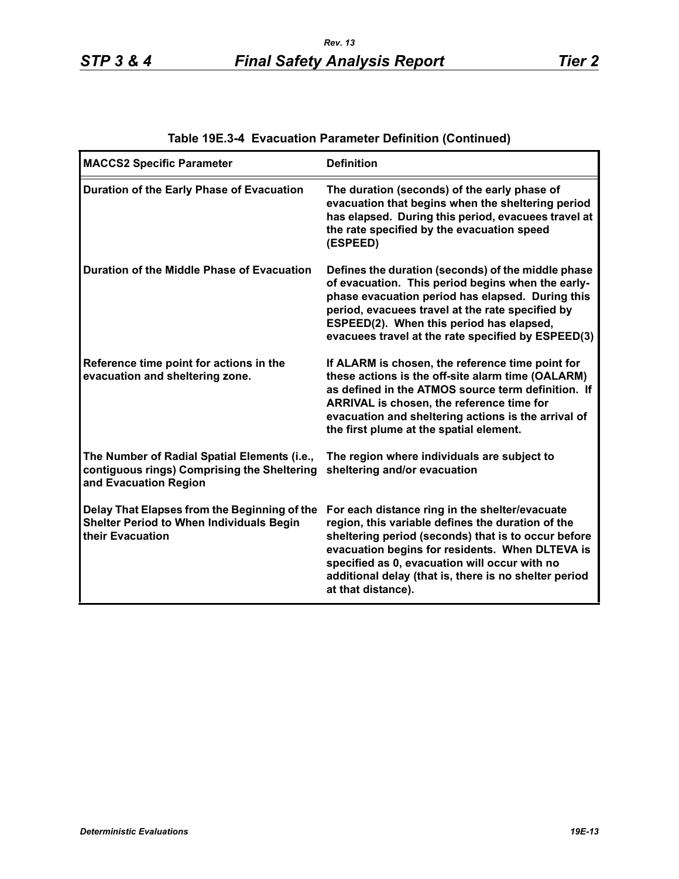| <b>MACCS2 Specific Parameter</b>                                                                                     | <b>Definition</b>                                                                                                                                                                                                                                                                                                                             |
|----------------------------------------------------------------------------------------------------------------------|-----------------------------------------------------------------------------------------------------------------------------------------------------------------------------------------------------------------------------------------------------------------------------------------------------------------------------------------------|
| Duration of the Early Phase of Evacuation                                                                            | The duration (seconds) of the early phase of<br>evacuation that begins when the sheltering period<br>has elapsed. During this period, evacuees travel at<br>the rate specified by the evacuation speed<br>(ESPEED)                                                                                                                            |
| Duration of the Middle Phase of Evacuation                                                                           | Defines the duration (seconds) of the middle phase<br>of evacuation. This period begins when the early-<br>phase evacuation period has elapsed. During this<br>period, evacuees travel at the rate specified by<br>ESPEED(2). When this period has elapsed,<br>evacuees travel at the rate specified by ESPEED(3)                             |
| Reference time point for actions in the<br>evacuation and sheltering zone.                                           | If ALARM is chosen, the reference time point for<br>these actions is the off-site alarm time (OALARM)<br>as defined in the ATMOS source term definition. If<br>ARRIVAL is chosen, the reference time for<br>evacuation and sheltering actions is the arrival of<br>the first plume at the spatial element.                                    |
| The Number of Radial Spatial Elements (i.e.,<br>contiguous rings) Comprising the Sheltering<br>and Evacuation Region | The region where individuals are subject to<br>sheltering and/or evacuation                                                                                                                                                                                                                                                                   |
| Delay That Elapses from the Beginning of the<br><b>Shelter Period to When Individuals Begin</b><br>their Evacuation  | For each distance ring in the shelter/evacuate<br>region, this variable defines the duration of the<br>sheltering period (seconds) that is to occur before<br>evacuation begins for residents. When DLTEVA is<br>specified as 0, evacuation will occur with no<br>additional delay (that is, there is no shelter period<br>at that distance). |

# **Table 19E.3-4 Evacuation Parameter Definition (Continued)**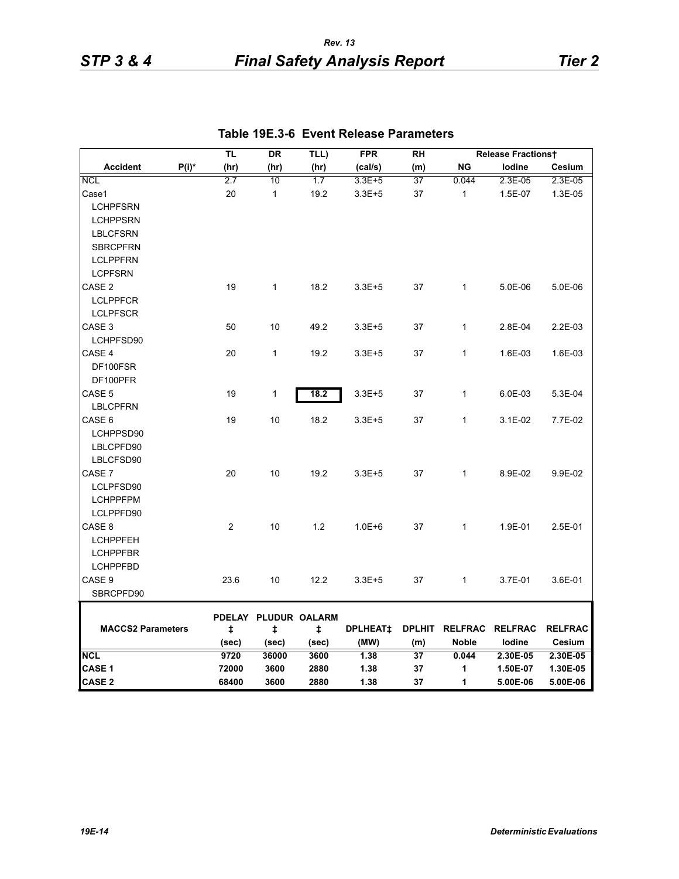| Cesium<br>2.3E-05<br>1.3E-05<br>5.0E-06 |
|-----------------------------------------|
|                                         |
|                                         |
|                                         |
|                                         |
|                                         |
|                                         |
|                                         |
|                                         |
|                                         |
|                                         |
|                                         |
|                                         |
| 2.2E-03                                 |
|                                         |
| 1.6E-03                                 |
|                                         |
|                                         |
| 5.3E-04                                 |
|                                         |
| 7.7E-02                                 |
|                                         |
|                                         |
|                                         |
| 9.9E-02                                 |
|                                         |
|                                         |
|                                         |
| 2.5E-01                                 |
|                                         |
|                                         |
|                                         |
| 3.6E-01                                 |
|                                         |
|                                         |
| <b>RELFRAC</b>                          |
| Cesium                                  |
| 2.30E-05                                |
| 1.30E-05                                |
| 5.00E-06                                |
|                                         |

# **Table 19E.3-6 Event Release Parameters**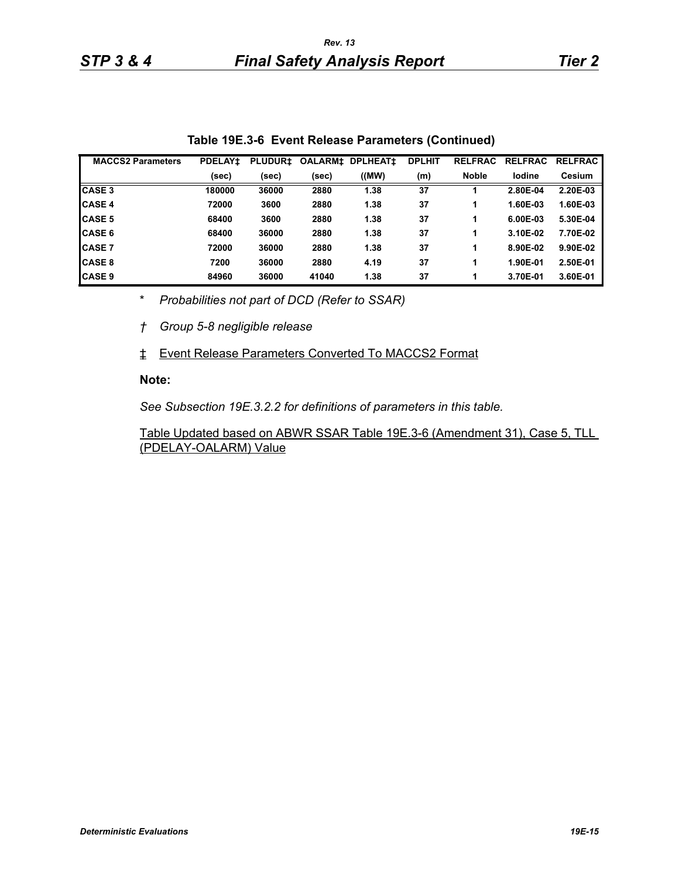| <b>MACCS2 Parameters</b> | <b>PDELAY1</b> | <b>PLUDUR‡</b> | <b>OALARM‡</b> | <b>DPLHEAT1</b> | <b>DPLHIT</b> | <b>RELFRAC</b> | <b>RELFRAC</b> | <b>RELFRAC</b> |
|--------------------------|----------------|----------------|----------------|-----------------|---------------|----------------|----------------|----------------|
|                          | (sec)          | (sec)          | (sec)          | ((MW))          | (m)           | <b>Noble</b>   | lodine         | Cesium         |
| <b>CASE 3</b>            | 180000         | 36000          | 2880           | 1.38            | 37            |                | 2.80E-04       | 2.20E-03       |
| <b>CASE 4</b>            | 72000          | 3600           | 2880           | 1.38            | 37            |                | 1.60E-03       | 1.60E-03       |
| <b>CASE 5</b>            | 68400          | 3600           | 2880           | 1.38            | 37            |                | 6.00E-03       | 5.30E-04       |
| <b>CASE 6</b>            | 68400          | 36000          | 2880           | 1.38            | 37            |                | 3.10E-02       | 7.70E-02       |
| <b>CASE 7</b>            | 72000          | 36000          | 2880           | 1.38            | 37            |                | 8.90E-02       | 9.90E-02       |
| <b>CASE 8</b>            | 7200           | 36000          | 2880           | 4.19            | 37            |                | 1.90E-01       | 2.50E-01       |
| <b>CASE 9</b>            | 84960          | 36000          | 41040          | 1.38            | 37            |                | 3.70E-01       | 3.60E-01       |

**Table 19E.3-6 Event Release Parameters (Continued)**

\* *Probabilities not part of DCD (Refer to SSAR)*

*† Group 5-8 negligible release*

‡ Event Release Parameters Converted To MACCS2 Format

#### **Note:**

*See Subsection 19E.3.2.2 for definitions of parameters in this table.*

Table Updated based on ABWR SSAR Table 19E.3-6 (Amendment 31), Case 5, TLL (PDELAY-OALARM) Value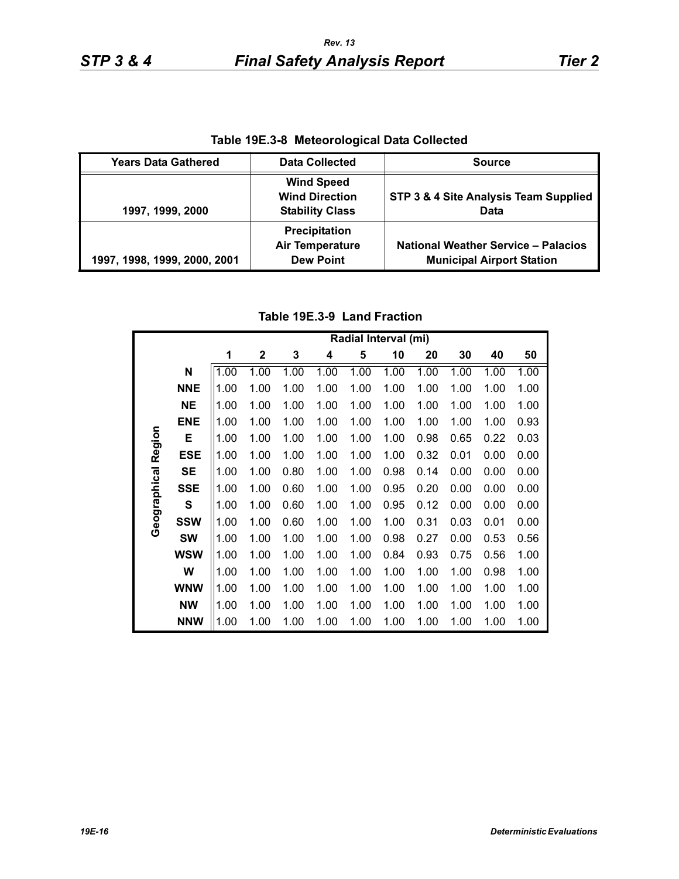| Table 15E.3-6 Meteorological Data Collected |                                                                      |                                                                                |  |  |  |  |  |  |  |
|---------------------------------------------|----------------------------------------------------------------------|--------------------------------------------------------------------------------|--|--|--|--|--|--|--|
| <b>Years Data Gathered</b>                  | <b>Data Collected</b>                                                | <b>Source</b>                                                                  |  |  |  |  |  |  |  |
| 1997, 1999, 2000                            | <b>Wind Speed</b><br><b>Wind Direction</b><br><b>Stability Class</b> | STP 3 & 4 Site Analysis Team Supplied<br>Data                                  |  |  |  |  |  |  |  |
| 1997, 1998, 1999, 2000, 2001                | Precipitation<br><b>Air Temperature</b><br><b>Dew Point</b>          | <b>National Weather Service - Palacios</b><br><b>Municipal Airport Station</b> |  |  |  |  |  |  |  |

**Table 19E.3-8 Meteorological Data Collected**

## **Table 19E.3-9 Land Fraction**

|                     |            |      | Radial Interval (mi) |      |      |      |      |      |      |      |      |  |  |
|---------------------|------------|------|----------------------|------|------|------|------|------|------|------|------|--|--|
|                     |            | 1    | $\boldsymbol{2}$     | 3    | 4    | 5    | 10   | 20   | 30   | 40   | 50   |  |  |
|                     | N          | 1.00 | 1.00                 | 1.00 | 1.00 | 1.00 | 1.00 | 1.00 | 1.00 | 1.00 | 1.00 |  |  |
|                     | <b>NNE</b> | 1.00 | 1.00                 | 1.00 | 1.00 | 1.00 | 1.00 | 1.00 | 1.00 | 1.00 | 1.00 |  |  |
|                     | <b>NE</b>  | 1.00 | 1.00                 | 1.00 | 1.00 | 1.00 | 1.00 | 1.00 | 1.00 | 1.00 | 1.00 |  |  |
|                     | <b>ENE</b> | 1.00 | 1.00                 | 1.00 | 1.00 | 1.00 | 1.00 | 1.00 | 1.00 | 1.00 | 0.93 |  |  |
|                     | Е          | 1.00 | 1.00                 | 1.00 | 1.00 | 1.00 | 1.00 | 0.98 | 0.65 | 0.22 | 0.03 |  |  |
|                     | ESE        | 1.00 | 1.00                 | 1.00 | 1.00 | 1.00 | 1.00 | 0.32 | 0.01 | 0.00 | 0.00 |  |  |
| Geographical Region | <b>SE</b>  | 1.00 | 1.00                 | 0.80 | 1.00 | 1.00 | 0.98 | 0.14 | 0.00 | 0.00 | 0.00 |  |  |
|                     | <b>SSE</b> | 1.00 | 1.00                 | 0.60 | 1.00 | 1.00 | 0.95 | 0.20 | 0.00 | 0.00 | 0.00 |  |  |
|                     | S          | 1.00 | 1.00                 | 0.60 | 1.00 | 1.00 | 0.95 | 0.12 | 0.00 | 0.00 | 0.00 |  |  |
|                     | <b>SSW</b> | 1.00 | 1.00                 | 0.60 | 1.00 | 1.00 | 1.00 | 0.31 | 0.03 | 0.01 | 0.00 |  |  |
|                     | <b>SW</b>  | 1.00 | 1.00                 | 1.00 | 1.00 | 1.00 | 0.98 | 0.27 | 0.00 | 0.53 | 0.56 |  |  |
|                     | <b>WSW</b> | 1.00 | 1.00                 | 1.00 | 1.00 | 1.00 | 0.84 | 0.93 | 0.75 | 0.56 | 1.00 |  |  |
|                     | W          | 1.00 | 1.00                 | 1.00 | 1.00 | 1.00 | 1.00 | 1.00 | 1.00 | 0.98 | 1.00 |  |  |
|                     | <b>WNW</b> | 1.00 | 1.00                 | 1.00 | 1.00 | 1.00 | 1.00 | 1.00 | 1.00 | 1.00 | 1.00 |  |  |
|                     | <b>NW</b>  | 1.00 | 1.00                 | 1.00 | 1.00 | 1.00 | 1.00 | 1.00 | 1.00 | 1.00 | 1.00 |  |  |
|                     | <b>NNW</b> | 1.00 | 1.00                 | 1.00 | 1.00 | 1.00 | 1.00 | 1.00 | 1.00 | 1.00 | 1.00 |  |  |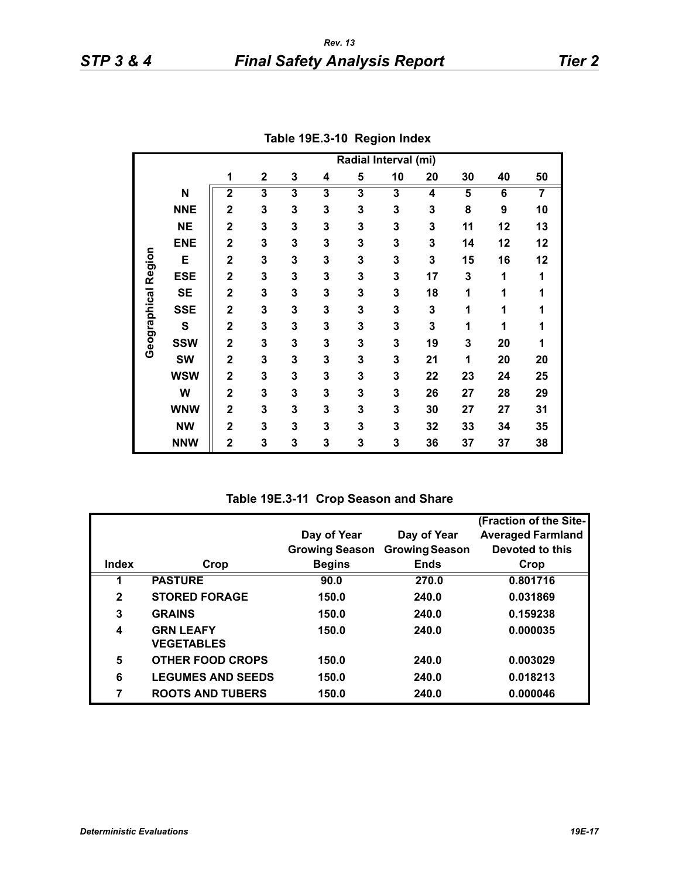|              |            | Radial Interval (mi)    |             |   |   |   |    |    |    |    |                |
|--------------|------------|-------------------------|-------------|---|---|---|----|----|----|----|----------------|
|              |            | 1                       | $\mathbf 2$ | 3 | 4 | 5 | 10 | 20 | 30 | 40 | 50             |
|              | N          | $\overline{2}$          | 3           | 3 | 3 | 3 | 3  | 4  | 5  | 6  | $\overline{7}$ |
|              | <b>NNE</b> | $\overline{2}$          | 3           | 3 | 3 | 3 | 3  | 3  | 8  | 9  | 10             |
|              | <b>NE</b>  | $\overline{2}$          | 3           | 3 | 3 | 3 | 3  | 3  | 11 | 12 | 13             |
|              | <b>ENE</b> | $\overline{2}$          | 3           | 3 | 3 | 3 | 3  | 3  | 14 | 12 | 12             |
|              | E          | $\overline{\mathbf{2}}$ | 3           | 3 | 3 | 3 | 3  | 3  | 15 | 16 | 12             |
| Region       | <b>ESE</b> | $\overline{\mathbf{2}}$ | 3           | 3 | 3 | 3 | 3  | 17 | 3  | 1  | 1              |
|              | <b>SE</b>  | $\overline{\mathbf{2}}$ | 3           | 3 | 3 | 3 | 3  | 18 | 1  | 1  | 1              |
|              | <b>SSE</b> | $\overline{\mathbf{2}}$ | 3           | 3 | 3 | 3 | 3  | 3  | 1  | 1  | 1              |
| Geographical | S          | $\overline{\mathbf{2}}$ | 3           | 3 | 3 | 3 | 3  | 3  | 1  | 1  | 1              |
|              | <b>SSW</b> | $\overline{\mathbf{2}}$ | 3           | 3 | 3 | 3 | 3  | 19 | 3  | 20 | 1              |
|              | <b>SW</b>  | $\mathbf 2$             | 3           | 3 | 3 | 3 | 3  | 21 | 1  | 20 | 20             |
|              | <b>WSW</b> | $\mathbf 2$             | 3           | 3 | 3 | 3 | 3  | 22 | 23 | 24 | 25             |
|              | W          | $\overline{\mathbf{2}}$ | 3           | 3 | 3 | 3 | 3  | 26 | 27 | 28 | 29             |
|              | <b>WNW</b> | $\mathbf 2$             | 3           | 3 | 3 | 3 | 3  | 30 | 27 | 27 | 31             |
|              | <b>NW</b>  | $\mathbf 2$             | 3           | 3 | 3 | 3 | 3  | 32 | 33 | 34 | 35             |
|              | <b>NNW</b> | $\mathbf 2$             | 3           | 3 | 3 | 3 | 3  | 36 | 37 | 37 | 38             |

**Table 19E.3-10 Region Index**

**Table 19E.3-11 Crop Season and Share**

|              |                          |                       |                       | (Fraction of the Site-   |
|--------------|--------------------------|-----------------------|-----------------------|--------------------------|
|              |                          | Day of Year           | Day of Year           | <b>Averaged Farmland</b> |
|              |                          | <b>Growing Season</b> | <b>Growing Season</b> | Devoted to this          |
| Index        | Crop                     | <b>Begins</b>         | <b>Ends</b>           | Crop                     |
|              | <b>PASTURE</b>           | 90.0                  | 270.0                 | 0.801716                 |
| $\mathbf{2}$ | <b>STORED FORAGE</b>     | 150.0                 | 240.0                 | 0.031869                 |
| 3            | <b>GRAINS</b>            | 150.0                 | 240.0                 | 0.159238                 |
| 4            | <b>GRN LEAFY</b>         | 150.0                 | 240.0                 | 0.000035                 |
|              | <b>VEGETABLES</b>        |                       |                       |                          |
| 5            | <b>OTHER FOOD CROPS</b>  | 150.0                 | 240.0                 | 0.003029                 |
| 6            | <b>LEGUMES AND SEEDS</b> | 150.0                 | 240.0                 | 0.018213                 |
| 7            | <b>ROOTS AND TUBERS</b>  | 150.0                 | 240.0                 | 0.000046                 |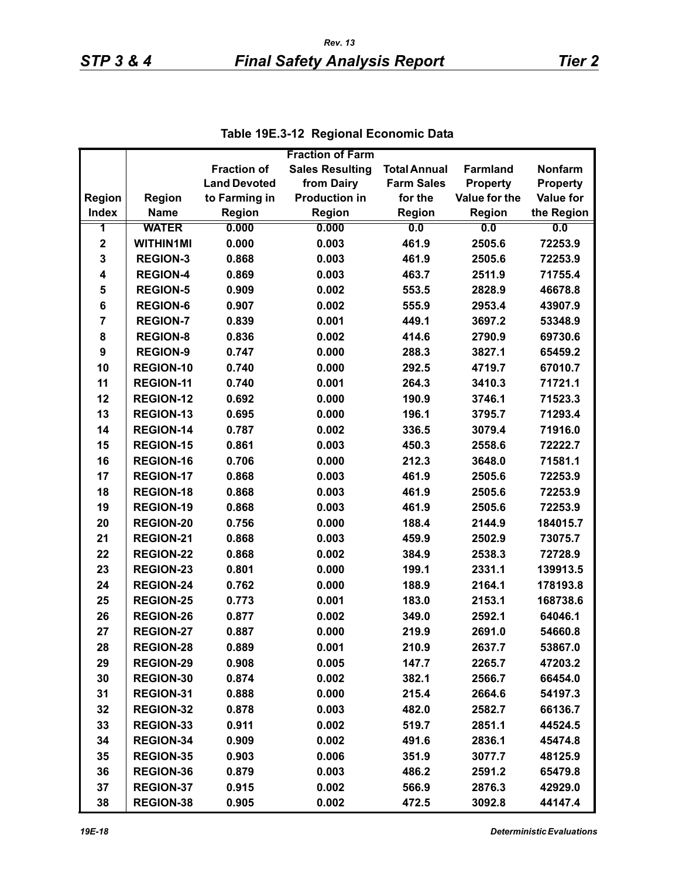|                         |                  |                     | <b>Fraction of Farm</b> |                     |                 |                  |
|-------------------------|------------------|---------------------|-------------------------|---------------------|-----------------|------------------|
|                         |                  | <b>Fraction of</b>  | <b>Sales Resulting</b>  | <b>Total Annual</b> | <b>Farmland</b> | <b>Nonfarm</b>   |
|                         |                  | <b>Land Devoted</b> | from Dairy              | <b>Farm Sales</b>   | <b>Property</b> | <b>Property</b>  |
| <b>Region</b>           | <b>Region</b>    | to Farming in       | <b>Production in</b>    | for the             | Value for the   | <b>Value for</b> |
| <b>Index</b>            | <b>Name</b>      | <b>Region</b>       | Region                  | Region              | Region          | the Region       |
| 1                       | <b>WATER</b>     | 0.000               | 0.000                   | 0.0                 | 0.0             | 0.0              |
| $\mathbf 2$             | <b>WITHIN1MI</b> | 0.000               | 0.003                   | 461.9               | 2505.6          | 72253.9          |
| 3                       | <b>REGION-3</b>  | 0.868               | 0.003                   | 461.9               | 2505.6          | 72253.9          |
| $\overline{\mathbf{4}}$ | <b>REGION-4</b>  | 0.869               | 0.003                   | 463.7               | 2511.9          | 71755.4          |
| 5                       | <b>REGION-5</b>  | 0.909               | 0.002                   | 553.5               | 2828.9          | 46678.8          |
| 6                       | <b>REGION-6</b>  | 0.907               | 0.002                   | 555.9               | 2953.4          | 43907.9          |
| $\overline{7}$          | <b>REGION-7</b>  | 0.839               | 0.001                   | 449.1               | 3697.2          | 53348.9          |
| 8                       | <b>REGION-8</b>  | 0.836               | 0.002                   | 414.6               | 2790.9          | 69730.6          |
| 9                       | <b>REGION-9</b>  | 0.747               | 0.000                   | 288.3               | 3827.1          | 65459.2          |
| 10                      | <b>REGION-10</b> | 0.740               | 0.000                   | 292.5               | 4719.7          | 67010.7          |
| 11                      | <b>REGION-11</b> | 0.740               | 0.001                   | 264.3               | 3410.3          | 71721.1          |
| 12                      | <b>REGION-12</b> | 0.692               | 0.000                   | 190.9               | 3746.1          | 71523.3          |
| 13                      | <b>REGION-13</b> | 0.695               | 0.000                   | 196.1               | 3795.7          | 71293.4          |
| 14                      | REGION-14        | 0.787               | 0.002                   | 336.5               | 3079.4          | 71916.0          |
| 15                      | <b>REGION-15</b> | 0.861               | 0.003                   | 450.3               | 2558.6          | 72222.7          |
| 16                      | <b>REGION-16</b> | 0.706               | 0.000                   | 212.3               | 3648.0          | 71581.1          |
| 17                      | <b>REGION-17</b> | 0.868               | 0.003                   | 461.9               | 2505.6          | 72253.9          |
| 18                      | <b>REGION-18</b> | 0.868               | 0.003                   | 461.9               | 2505.6          | 72253.9          |
| 19                      | <b>REGION-19</b> | 0.868               | 0.003                   | 461.9               | 2505.6          | 72253.9          |
| 20                      | <b>REGION-20</b> | 0.756               | 0.000                   | 188.4               | 2144.9          | 184015.7         |
| 21                      | <b>REGION-21</b> | 0.868               | 0.003                   | 459.9               | 2502.9          | 73075.7          |
| 22                      | <b>REGION-22</b> | 0.868               | 0.002                   | 384.9               | 2538.3          | 72728.9          |
| 23                      | <b>REGION-23</b> | 0.801               | 0.000                   | 199.1               | 2331.1          | 139913.5         |
| 24                      | <b>REGION-24</b> | 0.762               | 0.000                   | 188.9               | 2164.1          | 178193.8         |
| 25                      | <b>REGION-25</b> | 0.773               | 0.001                   | 183.0               | 2153.1          | 168738.6         |
| 26                      | <b>REGION-26</b> | 0.877               | 0.002                   | 349.0               | 2592.1          | 64046.1          |
| 27                      | <b>REGION-27</b> | 0.887               | 0.000                   | 219.9               | 2691.0          | 54660.8          |
| 28                      | <b>REGION-28</b> | 0.889               | 0.001                   | 210.9               | 2637.7          | 53867.0          |
| 29                      | <b>REGION-29</b> | 0.908               | 0.005                   | 147.7               | 2265.7          | 47203.2          |
| 30                      | REGION-30        | 0.874               | 0.002                   | 382.1               | 2566.7          | 66454.0          |
| 31                      | REGION-31        | 0.888               | 0.000                   | 215.4               | 2664.6          | 54197.3          |
| 32                      | <b>REGION-32</b> | 0.878               | 0.003                   | 482.0               | 2582.7          | 66136.7          |
| 33                      | REGION-33        | 0.911               | 0.002                   | 519.7               | 2851.1          | 44524.5          |
| 34                      | REGION-34        | 0.909               | 0.002                   | 491.6               | 2836.1          | 45474.8          |
| 35                      | <b>REGION-35</b> | 0.903               | 0.006                   | 351.9               | 3077.7          | 48125.9          |
| 36                      | REGION-36        | 0.879               | 0.003                   | 486.2               | 2591.2          | 65479.8          |
| 37                      | <b>REGION-37</b> | 0.915               | 0.002                   | 566.9               | 2876.3          | 42929.0          |
| 38                      | <b>REGION-38</b> | 0.905               | 0.002                   | 472.5               | 3092.8          | 44147.4          |

|  | Table 19E.3-12 Regional Economic Data |
|--|---------------------------------------|
|--|---------------------------------------|